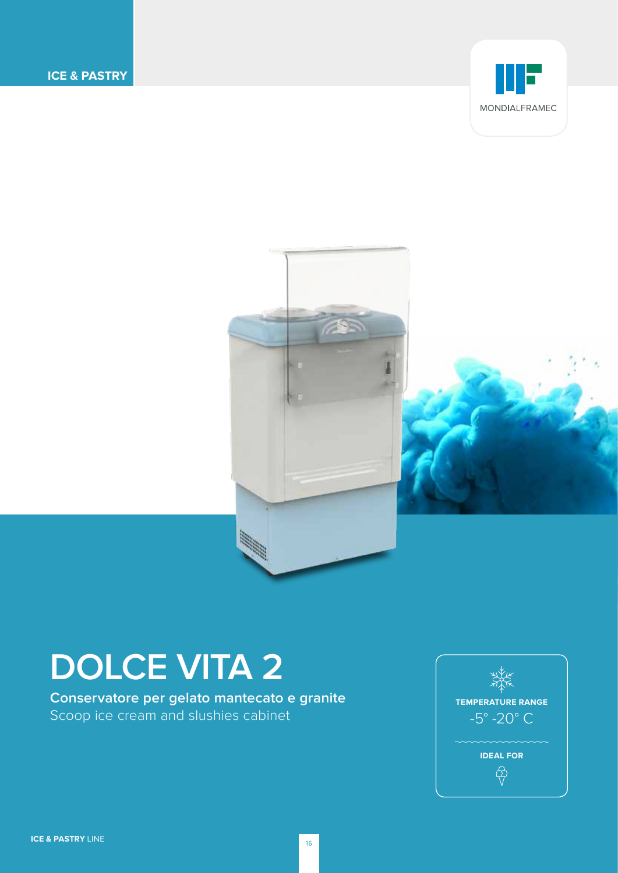



# **DOLCE VITA 2**

**Conservatore per gelato mantecato e granite**  Scoop ice cream and slushies cabinet